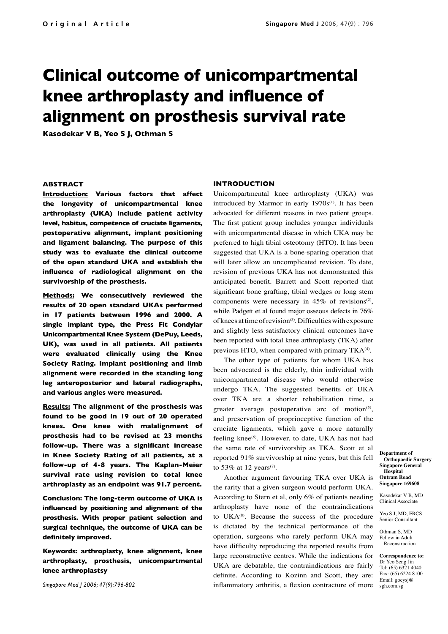# **Clinical outcome of unicompartmental knee arthroplasty and influence of alignment on prosthesis survival rate**

**Kasodekar V B, Yeo S J, Othman S**

# **ABSTRACT**

**Introduction: Various factors that affect the longevity of unicompartmental knee arthroplasty (UKA) include patient activity level, habitus, competence of cruciate ligaments, postoperative alignment, implant positioning and ligament balancing. The purpose of this study was to evaluate the clinical outcome of the open standard UKA and establish the influence of radiological alignment on the survivorship of the prosthesis.**

**Methods: We consecutively reviewed the results of 20 open standard UKAs performed in 17 patients between 1996 and 2000. A single implant type, the Press Fit Condylar Unicompartmental Knee System (DePuy, Leeds, UK), was used in all patients. All patients were evaluated clinically using the Knee Society Rating. Implant positioning and limb alignment were recorded in the standing long leg anteroposterior and lateral radiographs, and various angles were measured.**

**Results: The alignment of the prosthesis was found to be good in 19 out of 20 operated knees. One knee with malalignment of prosthesis had to be revised at 23 months follow-up. There was a significant increase in Knee Society Rating of all patients, at a follow-up of 4-8 years. The Kaplan-Meier survival rate using revision to total knee arthroplasty as an endpoint was 91.7 percent.**

**Conclusion: The long-term outcome of UKA is influenced by positioning and alignment of the prosthesis. With proper patient selection and surgical technique, the outcome of UKA can be definitely improved.**

**Keywords: arthroplasty, knee alignment, knee arthroplasty, prosthesis, unicompartmental knee arthroplastsy**

*Singapore Med J 2006; 47(9):796-802*

## **INTRODUCTION**

Unicompartmental knee arthroplasty (UKA) was introduced by Marmor in early  $1970s^{(1)}$ . It has been advocated for different reasons in two patient groups. The first patient group includes younger individuals with unicompartmental disease in which UKA may be preferred to high tibial osteotomy (HTO). It has been suggested that UKA is a bone-sparing operation that will later allow an uncomplicated revision. To date, revision of previous UKA has not demonstrated this anticipated benefit. Barrett and Scott reported that significant bone grafting, tibial wedges or long stem components were necessary in  $45\%$  of revisions<sup>(2)</sup>, while Padgett et al found major osseous defects in 76% of knees at time of revision(3). Difficulties with exposure and slightly less satisfactory clinical outcomes have been reported with total knee arthroplasty (TKA) after previous HTO, when compared with primary TKA<sup>(4)</sup>.

The other type of patients for whom UKA has been advocated is the elderly, thin individual with unicompartmental disease who would otherwise undergo TKA. The suggested benefits of UKA over TKA are a shorter rehabilitation time, a greater average postoperative arc of motion<sup>(5)</sup>, and preservation of proprioceptive function of the cruciate ligaments, which gave a more naturally feeling knee<sup>(6)</sup>. However, to date, UKA has not had the same rate of survivorship as TKA. Scott et al reported 91% survivorship at nine years, but this fell to 53% at 12 years<sup>(7)</sup>.

Another argument favouring TKA over UKA is the rarity that a given surgeon would perform UKA. According to Stern et al, only 6% of patients needing arthroplasty have none of the contraindications to UK $A^{(8)}$ . Because the success of the procedure is dictated by the technical performance of the operation, surgeons who rarely perform UKA may have difficulty reproducing the reported results from large reconstructive centres. While the indications for UKA are debatable, the contraindications are fairly definite. According to Kozinn and Scott, they are: inflammatory arthritis, a flexion contracture of more

**Department of Orthopaedic Surgery Singapore General Hospital Outram Road Singapore 169608**

Kasodekar V B, MD Clinical Associate

Yeo S J, MD, FRCS Senior Consultant

Othman S, MD Fellow in Adult Reconstruction

**Correspondence to:** Dr Yeo Seng Jin Tel: (65) 6321 4040 Fax: (65) 6224 8100 Email: gocysj@ sgh.com.sg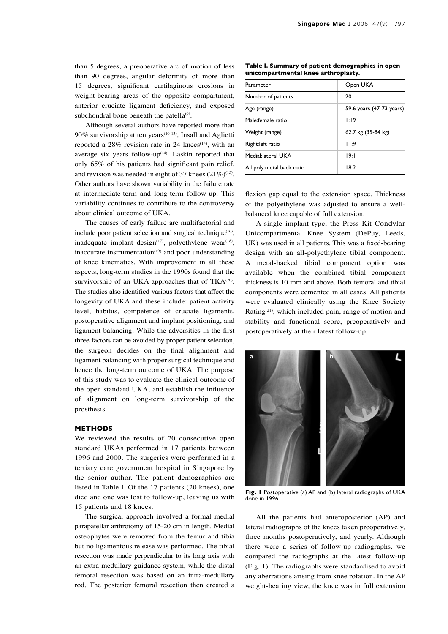than 5 degrees, a preoperative arc of motion of less than 90 degrees, angular deformity of more than 15 degrees, significant cartilaginous erosions in weight-bearing areas of the opposite compartment, anterior cruciate ligament deficiency, and exposed subchondral bone beneath the patella $^{(9)}$ .

Although several authors have reported more than 90% survivorship at ten years(10-13), Insall and Aglietti reported a  $28\%$  revision rate in 24 knees<sup>(14)</sup>, with an average six years follow-up $(14)$ . Laskin reported that only 65% of his patients had significant pain relief, and revision was needed in eight of 37 knees  $(21\%)^{(15)}$ . Other authors have shown variability in the failure rate at intermediate-term and long-term follow-up. This variability continues to contribute to the controversy about clinical outcome of UKA.

The causes of early failure are multifactorial and include poor patient selection and surgical technique<sup>(16)</sup>, inadequate implant design $(17)$ , polyethylene wear $(18)$ , inaccurate instrumentation $(19)$  and poor understanding of knee kinematics. With improvement in all these aspects, long-term studies in the 1990s found that the survivorship of an UKA approaches that of  $TKA^{(20)}$ . The studies also identified various factors that affect the longevity of UKA and these include: patient activity level, habitus, competence of cruciate ligaments, postoperative alignment and implant positioning, and ligament balancing. While the adversities in the first three factors can be avoided by proper patient selection, the surgeon decides on the final alignment and ligament balancing with proper surgical technique and hence the long-term outcome of UKA. The purpose of this study was to evaluate the clinical outcome of the open standard UKA, and establish the influence of alignment on long-term survivorship of the prosthesis.

### **METHODS**

We reviewed the results of 20 consecutive open standard UKAs performed in 17 patients between 1996 and 2000. The surgeries were performed in a tertiary care government hospital in Singapore by the senior author. The patient demographics are listed in Table I. Of the 17 patients (20 knees), one died and one was lost to follow-up, leaving us with 15 patients and 18 knees.

The surgical approach involved a formal medial parapatellar arthrotomy of 15-20 cm in length. Medial osteophytes were removed from the femur and tibia but no ligamentous release was performed. The tibial resection was made perpendicular to its long axis with an extra-medullary guidance system, while the distal femoral resection was based on an intra-medullary rod. The posterior femoral resection then created a

**Table I. Summary of patient demographics in open unicompartmental knee arthroplasty.**

| Parameter                 | Open UKA                 |
|---------------------------|--------------------------|
| Number of patients        | 20                       |
| Age (range)               | 59.6 years (47-73 years) |
| Male:female ratio         | 1:19                     |
| Weight (range)            | 62.7 kg (39-84 kg)       |
| Right: left ratio         | 11:9                     |
| Medial: lateral UKA       | 19:1                     |
| All poly:metal back ratio | 18:2                     |

flexion gap equal to the extension space. Thickness of the polyethylene was adjusted to ensure a wellbalanced knee capable of full extension.

A single implant type, the Press Kit Condylar Unicompartmental Knee System (DePuy, Leeds, UK) was used in all patients. This was a fixed-bearing design with an all-polyethylene tibial component. A metal-backed tibial component option was available when the combined tibial component thickness is 10 mm and above. Both femoral and tibial components were cemented in all cases. All patients were evaluated clinically using the Knee Society Rating(21), which included pain, range of motion and stability and functional score, preoperatively and postoperatively at their latest follow-up.



**Fig. 1** Postoperative (a) AP and (b) lateral radiographs of UKA done in 1996.

All the patients had anteroposterior (AP) and lateral radiographs of the knees taken preoperatively, three months postoperatively, and yearly. Although there were a series of follow-up radiographs, we compared the radiographs at the latest follow-up (Fig. 1). The radiographs were standardised to avoid any aberrations arising from knee rotation. In the AP weight-bearing view, the knee was in full extension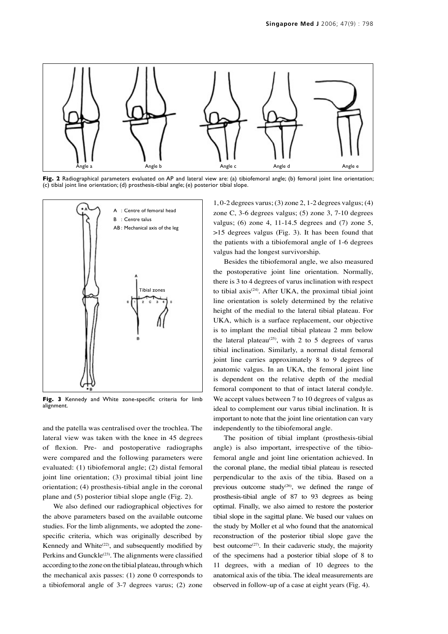

**Fig. 2** Radiographical parameters evaluated on AP and lateral view are: (a) tibiofemoral angle; (b) femoral joint line orientation; (c) tibial joint line orientation; (d) prosthesis-tibial angle; (e) posterior tibial slope.



**Fig. 3** Kennedy and White zone-specific criteria for limb alignment.

and the patella was centralised over the trochlea. The lateral view was taken with the knee in 45 degrees of flexion. Pre- and postoperative radiographs were compared and the following parameters were evaluated: (1) tibiofemoral angle; (2) distal femoral joint line orientation; (3) proximal tibial joint line orientation; (4) prosthesis-tibial angle in the coronal plane and (5) posterior tibial slope angle (Fig. 2).

We also defined our radiographical objectives for the above parameters based on the available outcome studies. For the limb alignments, we adopted the zonespecific criteria, which was originally described by Kennedy and White<sup>(22)</sup>, and subsequently modified by Perkins and Gunckle<sup>(23)</sup>. The alignments were classified according to the zone on the tibial plateau, through which the mechanical axis passes: (1) zone 0 corresponds to a tibiofemoral angle of 3-7 degrees varus; (2) zone 1, 0-2 degrees varus; (3) zone 2, 1-2 degrees valgus; (4) zone C, 3-6 degrees valgus; (5) zone 3, 7-10 degrees valgus; (6) zone 4, 11-14.5 degrees and (7) zone 5, >15 degrees valgus (Fig. 3). It has been found that the patients with a tibiofemoral angle of 1-6 degrees valgus had the longest survivorship.

Besides the tibiofemoral angle, we also measured the postoperative joint line orientation. Normally, there is 3 to 4 degrees of varus inclination with respect to tibial axis<sup> $(24)$ </sup>. After UKA, the proximal tibial joint line orientation is solely determined by the relative height of the medial to the lateral tibial plateau. For UKA, which is a surface replacement, our objective is to implant the medial tibial plateau 2 mm below the lateral plateau<sup>(25)</sup>, with 2 to 5 degrees of varus tibial inclination. Similarly, a normal distal femoral joint line carries approximately 8 to 9 degrees of anatomic valgus. In an UKA, the femoral joint line is dependent on the relative depth of the medial femoral component to that of intact lateral condyle. We accept values between 7 to 10 degrees of valgus as ideal to complement our varus tibial inclination. It is important to note that the joint line orientation can vary independently to the tibiofemoral angle.

The position of tibial implant (prosthesis-tibial angle) is also important, irrespective of the tibiofemoral angle and joint line orientation achieved. In the coronal plane, the medial tibial plateau is resected perpendicular to the axis of the tibia. Based on a previous outcome study $(26)$ , we defined the range of prosthesis-tibial angle of 87 to 93 degrees as being optimal. Finally, we also aimed to restore the posterior tibial slope in the sagittal plane. We based our values on the study by Moller et al who found that the anatomical reconstruction of the posterior tibial slope gave the best outcome $(27)$ . In their cadaveric study, the majority of the specimens had a posterior tibial slope of 8 to 11 degrees, with a median of 10 degrees to the anatomical axis of the tibia. The ideal measurements are observed in follow-up of a case at eight years (Fig. 4).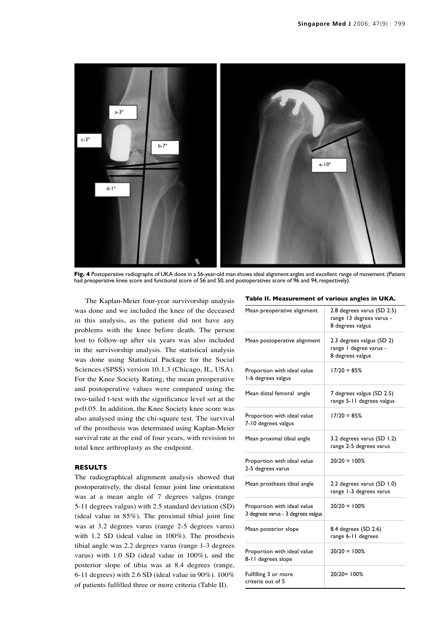

**Fig. 4** Postoperative radiographs of UKA done in a 56-year-old man shows ideal alignment angles and excellent range of movement. (Patient had preoperative knee score and functional score of 56 and 50, and postoperatives score of 96 and 94, respectively)

The Kaplan-Meier four-year survivorship analysis was done and we included the knee of the deceased in this analysis, as the patient did not have any problems with the knee before death. The person lost to follow-up after six years was also included in the survivorship analysis. The statistical analysis was done using Statistical Package for the Social Sciences (SPSS) version 10.1.3 (Chicago, IL, USA). For the Knee Society Rating, the mean preoperative and postoperative values were compared using the two-tailed t-test with the significance level set at the p<0.05. In addition, the Knee Society knee score was also analysed using the chi-square test. The survival of the prosthesis was determined using Kaplan-Meier survival rate at the end of four years, with revision to total knee arthroplasty as the endpoint.

## **RESULTS**

The radiographical alignment analysis showed that postoperatively, the distal femur joint line orientation was at a mean angle of 7 degrees valgus (range 5-11 degrees valgus) with 2.5 standard deviation (SD) (ideal value in 85%). The proximal tibial joint line was at 3.2 degrees varus (range 2-5 degrees varus) with 1.2 SD (ideal value in 100%). The prosthesis tibial angle was 2.2 degrees varus (range 1-3 degrees varus) with 1.0 SD (ideal value in 100%), and the posterior slope of tibia was at 8.4 degrees (range, 6-11 degrees) with 2.6 SD (ideal value in 90%). 100% of patients fulfilled three or more criteria (Table II).

**Table II. Measurement of various angles in UKA.**

| Mean preoperative alignment                                       | 2.8 degrees varus (SD 2.5)<br>range 13 degrees varus -<br>8 degrees valgus |
|-------------------------------------------------------------------|----------------------------------------------------------------------------|
| Mean postoperative alignment                                      | 2.3 degrees valgus (SD 2)<br>range I degree varus -<br>8 degrees valgus    |
| Proportion with ideal value<br>1-6 degrees valgus                 | $17/20 = 85%$                                                              |
| Mean distal femoral angle                                         | 7 degrees valgus (SD 2.5)<br>range 5-11 degrees valgus                     |
| Proportion with ideal value<br>7-10 degrees valgus                | $17/20 = 85%$                                                              |
| Mean proximal tibial angle                                        | 3.2 degrees varus (SD 1.2)<br>range 2-5 degrees varus                      |
| Proportion with ideal value<br>2-5 degrees varus                  | $20/20 = 100%$                                                             |
| Mean prosthesis tibial angle                                      | 2.2 degrees varus (SD 1.0)<br>range 1-3 degrees varus                      |
| Proportion with ideal value<br>3 degrees varus - 3 degrees valgus | $20/20 = 100%$                                                             |
| Mean posterior slope                                              | 8.4 degrees (SD 2.6)<br>range 6-11 degrees                                 |
| Proportion with ideal value<br>8-11 degrees slope                 | $20/20 = 100%$                                                             |
| Fulfilling 3 or more<br>criteria out of 5                         | 20/20=100%                                                                 |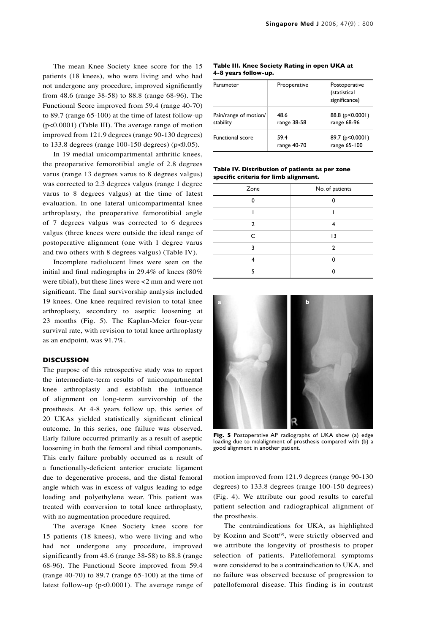The mean Knee Society knee score for the 15 patients (18 knees), who were living and who had not undergone any procedure, improved significantly from 48.6 (range 38-58) to 88.8 (range 68-96). The Functional Score improved from 59.4 (range 40-70) to 89.7 (range 65-100) at the time of latest follow-up (p<0.0001) (Table III). The average range of motion improved from 121.9 degrees (range 90-130 degrees) to 133.8 degrees (range 100-150 degrees) (p<0.05).

In 19 medial unicompartmental arthritic knees, the preoperative femorotibial angle of 2.8 degrees varus (range 13 degrees varus to 8 degrees valgus) was corrected to 2.3 degrees valgus (range 1 degree varus to 8 degrees valgus) at the time of latest evaluation. In one lateral unicompartmental knee arthroplasty, the preoperative femorotibial angle of 7 degrees valgus was corrected to 6 degrees valgus (three knees were outside the ideal range of postoperative alignment (one with 1 degree varus and two others with 8 degrees valgus) (Table IV).

Incomplete radiolucent lines were seen on the initial and final radiographs in 29.4% of knees (80% were tibial), but these lines were <2 mm and were not significant. The final survivorship analysis included 19 knees. One knee required revision to total knee arthroplasty, secondary to aseptic loosening at 23 months (Fig. 5). The Kaplan-Meier four-year survival rate, with revision to total knee arthroplasty as an endpoint, was 91.7%.

## **DISCUSSION**

The purpose of this retrospective study was to report the intermediate-term results of unicompartmental knee arthroplasty and establish the influence of alignment on long-term survivorship of the prosthesis. At 4-8 years follow up, this series of 20 UKAs yielded statistically significant clinical outcome. In this series, one failure was observed. Early failure occurred primarily as a result of aseptic loosening in both the femoral and tibial components. This early failure probably occurred as a result of a functionally-deficient anterior cruciate ligament due to degenerative process, and the distal femoral angle which was in excess of valgus leading to edge loading and polyethylene wear. This patient was treated with conversion to total knee arthroplasty, with no augmentation procedure required.

The average Knee Society knee score for 15 patients (18 knees), who were living and who had not undergone any procedure, improved significantly from 48.6 (range 38-58) to 88.8 (range 68-96). The Functional Score improved from 59.4 (range 40-70) to 89.7 (range 65-100) at the time of latest follow-up (p<0.0001). The average range of

**Table III. Knee Society Rating in open UKA at 4-8 years follow-up.**

| Parameter                          | Preoperative        | Postoperative<br>(statistical<br>significance) |
|------------------------------------|---------------------|------------------------------------------------|
| Pain/range of motion/<br>stability | 48.6<br>range 38-58 | 88.8 (p<0.0001)<br>range 68-96                 |
| <b>Functional score</b>            | 59.4<br>range 40-70 | 89.7 (p<0.0001)<br>range 65-100                |

### **Table IV. Distribution of patients as per zone specific criteria for limb alignment.**

| Zone         | No. of patients |
|--------------|-----------------|
| n            |                 |
|              |                 |
| 2            | 4               |
| $\mathsf{C}$ | 3               |
| ર            | $\overline{2}$  |
|              | Λ               |
| 5            |                 |



**Fig. 5** Postoperative AP radiographs of UKA show (a) edge loading due to malalignment of prosthesis compared with (b) a good alignment in another patient.

motion improved from 121.9 degrees (range 90-130 degrees) to 133.8 degrees (range 100-150 degrees) (Fig. 4). We attribute our good results to careful patient selection and radiographical alignment of the prosthesis.

The contraindications for UKA, as highlighted by Kozinn and Scott<sup>(9)</sup>, were strictly observed and we attribute the longevity of prosthesis to proper selection of patients. Patellofemoral symptoms were considered to be a contraindication to UKA, and no failure was observed because of progression to patellofemoral disease. This finding is in contrast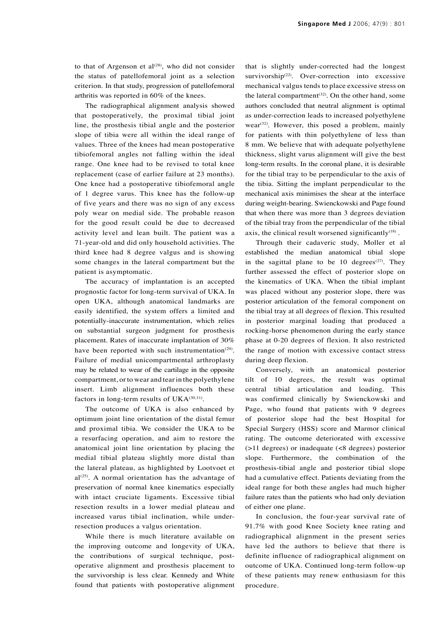to that of Argenson et al $^{(28)}$ , who did not consider the status of patellofemoral joint as a selection criterion. In that study, progression of patellofemoral arthritis was reported in 60% of the knees.

The radiographical alignment analysis showed that postoperatively, the proximal tibial joint line, the prosthesis tibial angle and the posterior slope of tibia were all within the ideal range of values. Three of the knees had mean postoperative tibiofemoral angles not falling within the ideal range. One knee had to be revised to total knee replacement (case of earlier failure at 23 months). One knee had a postoperative tibiofemoral angle of 1 degree varus. This knee has the follow-up of five years and there was no sign of any excess poly wear on medial side. The probable reason for the good result could be due to decreased activity level and lean built. The patient was a 71-year-old and did only household activities. The third knee had 8 degree valgus and is showing some changes in the lateral compartment but the patient is asymptomatic.

The accuracy of implantation is an accepted prognostic factor for long-term survival of UKA. In open UKA, although anatomical landmarks are easily identified, the system offers a limited and potentially-inaccurate instrumentation, which relies on substantial surgeon judgment for prosthesis placement. Rates of inaccurate implantation of 30% have been reported with such instrumentation<sup>(29)</sup>. Failure of medial unicompartmental arthroplasty may be related to wear of the cartilage in the opposite compartment, or to wear and tear in the polyethylene insert. Limb alignment influences both these factors in long-term results of UKA $^{(30,31)}$ .

The outcome of UKA is also enhanced by optimum joint line orientation of the distal femur and proximal tibia. We consider the UKA to be a resurfacing operation, and aim to restore the anatomical joint line orientation by placing the medial tibial plateau slightly more distal than the lateral plateau, as highlighted by Lootvoet et  $al^{(25)}$ . A normal orientation has the advantage of preservation of normal knee kinematics especially with intact cruciate ligaments. Excessive tibial resection results in a lower medial plateau and increased varus tibial inclination, while underresection produces a valgus orientation.

While there is much literature available on the improving outcome and longevity of UKA, the contributions of surgical technique, postoperative alignment and prosthesis placement to the survivorship is less clear. Kennedy and White found that patients with postoperative alignment that is slightly under-corrected had the longest survivorship<sup>(22)</sup>. Over-correction into excessive mechanical valgus tends to place excessive stress on the lateral compartment $(32)$ . On the other hand, some authors concluded that neutral alignment is optimal as under-correction leads to increased polyethylene wear<sup>(32)</sup>. However, this posed a problem, mainly for patients with thin polyethylene of less than 8 mm. We believe that with adequate polyethylene thickness, slight varus alignment will give the best long-term results. In the coronal plane, it is desirable for the tibial tray to be perpendicular to the axis of the tibia. Sitting the implant perpendicular to the mechanical axis minimises the shear at the interface during weight-bearing. Swienckowski and Page found that when there was more than 3 degrees deviation of the tibial tray from the perpendicular of the tibial axis, the clinical result worsened significantly<sup>(18)</sup>.

Through their cadaveric study, Moller et al established the median anatomical tibial slope in the sagittal plane to be 10 degrees<sup> $(27)$ </sup>. They further assessed the effect of posterior slope on the kinematics of UKA. When the tibial implant was placed without any posterior slope, there was posterior articulation of the femoral component on the tibial tray at all degrees of flexion. This resulted in posterior marginal loading that produced a rocking-horse phenomenon during the early stance phase at 0-20 degrees of flexion. It also restricted the range of motion with excessive contact stress during deep flexion.

Conversely, with an anatomical posterior tilt of 10 degrees, the result was optimal central tibial articulation and loading. This was confirmed clinically by Swienckowski and Page, who found that patients with 9 degrees of posterior slope had the best Hospital for Special Surgery (HSS) score and Marmor clinical rating. The outcome deteriorated with excessive (>11 degrees) or inadequate (<8 degrees) posterior slope. Furthermore, the combination of the prosthesis-tibial angle and posterior tibial slope had a cumulative effect. Patients deviating from the ideal range for both these angles had much higher failure rates than the patients who had only deviation of either one plane.

In conclusion, the four-year survival rate of 91.7% with good Knee Society knee rating and radiographical alignment in the present series have led the authors to believe that there is definite influence of radiographical alignment on outcome of UKA. Continued long-term follow-up of these patients may renew enthusiasm for this procedure.